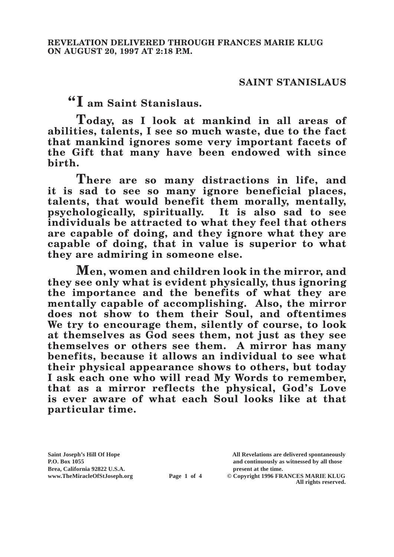## **SAINT STANISLAUS**

**"I am Saint Stanislaus.**

**Today, as I look at mankind in all areas of abilities, talents, I see so much waste, due to the fact that mankind ignores some very important facets of the Gift that many have been endowed with since birth.**

**There are so many distractions in life, and it is sad to see so many ignore beneficial places,**  talents, that would benefit them morally, mentally, **psychologically, spiritually. It is also sad to see individuals be attracted to what they feel that others are capable of doing, and they ignore what they are capable of doing, that in value is superior to what they are admiring in someone else.**

**Men, women and children look in the mirror, and they see only what is evident physically, thus ignoring the importance and the benefits of what they are mentally capable of accomplishing. Also, the mirror does not show to them their Soul, and oftentimes We try to encourage them, silently of course, to look at themselves as God sees them, not just as they see themselves or others see them. A mirror has many benefits, because it allows an individual to see what their physical appearance shows to others, but today I ask each one who will read My Words to remember, that as a mirror reflects the physical, God's Love is ever aware of what each Soul looks like at that particular time.**

Brea, California 92822 U.S.A.<br>
www.TheMiracleOfStJoseph.org<br> **Page 1 of 4** © Copyright 1996 FR.

**Saint Joseph's Hill Of Hope All Revelations are delivered spontaneously P.O. Box 1055 and continuously as witnessed by all those** 

**Page 1 of 4** © Copyright 1996 FRANCES MARIE KLUG **All rights reserved.**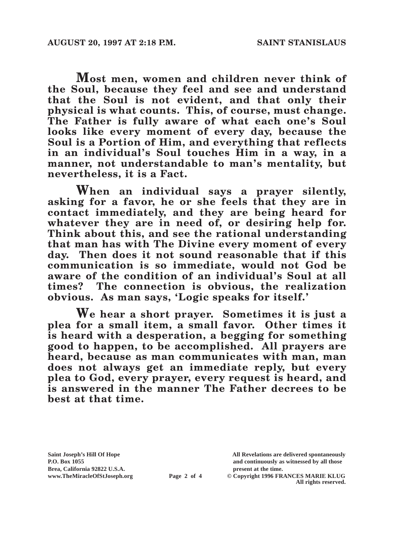**Most men, women and children never think of the Soul, because they feel and see and understand that the Soul is not evident, and that only their physical is what counts. This, of course, must change. The Father is fully aware of what each one's Soul looks like every moment of every day, because the Soul is a Portion of Him, and everything that reflects in an individual's Soul touches Him in a way, in a manner, not understandable to man's mentality, but nevertheless, it is a Fact.**

**When an individual says a prayer silently, asking for a favor, he or she feels that they are in contact immediately, and they are being heard for whatever they are in need of, or desiring help for. Think about this, and see the rational understanding that man has with The Divine every moment of every day. Then does it not sound reasonable that if this communication is so immediate, would not God be aware of the condition of an individual's Soul at all times? The connection is obvious, the realization obvious. As man says, 'Logic speaks for itself.'**

**We hear a short prayer. Sometimes it is just a plea for a small item, a small favor. Other times it is heard with a desperation, a begging for something good to happen, to be accomplished. All prayers are heard, because as man communicates with man, man does not always get an immediate reply, but every plea to God, every prayer, every request is heard, and is answered in the manner The Father decrees to be best at that time.**

Brea, California 92822 U.S.A.<br>
www.TheMiracleOfStJoseph.org<br> **Page 2 of 4** © Copyright 1996 FR.

**Saint Joseph's Hill Of Hope All Revelations are delivered spontaneously P.O. Box 1055 and continuously as witnessed by all those** 

**Page 2 of 4** © Copyright 1996 FRANCES MARIE KLUG **All rights reserved.**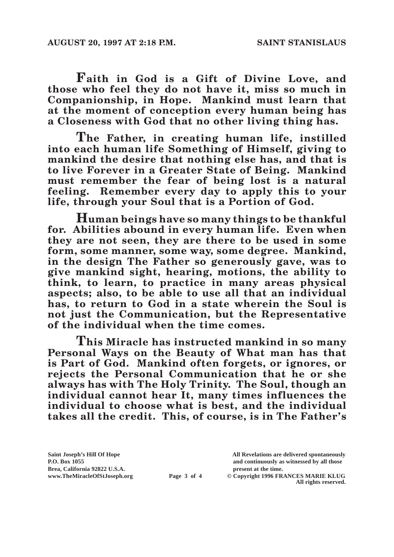**Faith in God is a Gift of Divine Love, and those who feel they do not have it, miss so much in Companionship, in Hope. Mankind must learn that at the moment of conception every human being has a Closeness with God that no other living thing has.**

**The Father, in creating human life, instilled into each human life Something of Himself, giving to mankind the desire that nothing else has, and that is to live Forever in a Greater State of Being. Mankind must remember the fear of being lost is a natural feeling. Remember every day to apply this to your life, through your Soul that is a Portion of God.**

**Human beings have so many things to be thankful for. Abilities abound in every human life. Even when they are not seen, they are there to be used in some form, some manner, some way, some degree. Mankind, in the design The Father so generously gave, was to give mankind sight, hearing, motions, the ability to think, to learn, to practice in many areas physical aspects; also, to be able to use all that an individual has, to return to God in a state wherein the Soul is not just the Communication, but the Representative of the individual when the time comes.**

**This Miracle has instructed mankind in so many Personal Ways on the Beauty of What man has that is Part of God. Mankind often forgets, or ignores, or rejects the Personal Communication that he or she always has with The Holy Trinity. The Soul, though an individual cannot hear It, many times influences the individual to choose what is best, and the individual takes all the credit. This, of course, is in The Father's** 

Brea, California 92822 U.S.A.<br>
www.TheMiracleOfStJoseph.org<br> **Page 3 of 4** © Copyright 1996 FR.

**Saint Joseph's Hill Of Hope All Revelations are delivered spontaneously P.O. Box 1055 and continuously as witnessed by all those** 

**Page 3 of 4** © Copyright 1996 FRANCES MARIE KLUG **All rights reserved.**